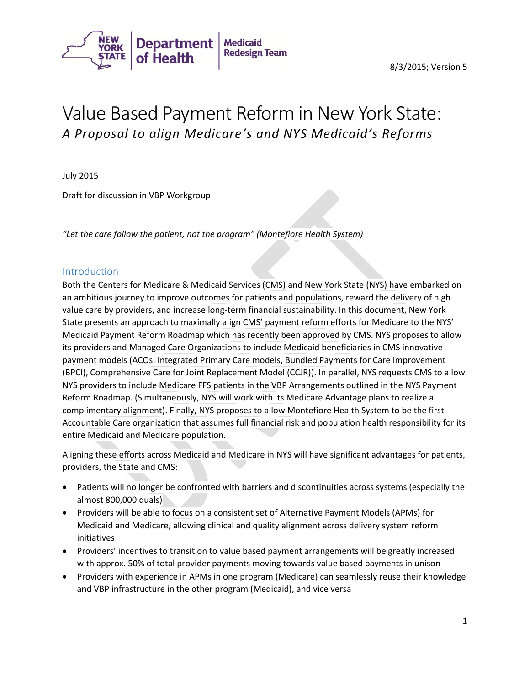

# Value Based Payment Reform in New York State: *A Proposal to align Medicare's and NYS Medicaid's Reforms*

July 2015

Draft for discussion in VBP Workgroup

*"Let the care follow the patient, not the program" (Montefiore Health System)*

#### Introduction

Both the Centers for Medicare & Medicaid Services (CMS) and New York State (NYS) have embarked on an ambitious journey to improve outcomes for patients and populations, reward the delivery of high value care by providers, and increase long-term financial sustainability. In this document, New York State presents an approach to maximally align CMS' payment reform efforts for Medicare to the NYS' Medicaid Payment Reform Roadmap which has recently been approved by CMS. NYS proposes to allow its providers and Managed Care Organizations to include Medicaid beneficiaries in CMS innovative payment models (ACOs, Integrated Primary Care models, Bundled Payments for Care Improvement (BPCI), Comprehensive Care for Joint Replacement Model (CCJR)). In parallel, NYS requests CMS to allow NYS providers to include Medicare FFS patients in the VBP Arrangements outlined in the NYS Payment Reform Roadmap. (Simultaneously, NYS will work with its Medicare Advantage plans to realize a complimentary alignment). Finally, NYS proposes to allow Montefiore Health System to be the first Accountable Care organization that assumes full financial risk and population health responsibility for its entire Medicaid and Medicare population.

Aligning these efforts across Medicaid and Medicare in NYS will have significant advantages for patients, providers, the State and CMS:

- Patients will no longer be confronted with barriers and discontinuities across systems (especially the almost 800,000 duals)
- Providers will be able to focus on a consistent set of Alternative Payment Models (APMs) for Medicaid and Medicare, allowing clinical and quality alignment across delivery system reform initiatives
- Providers' incentives to transition to value based payment arrangements will be greatly increased with approx. 50% of total provider payments moving towards value based payments in unison
- Providers with experience in APMs in one program (Medicare) can seamlessly reuse their knowledge and VBP infrastructure in the other program (Medicaid), and vice versa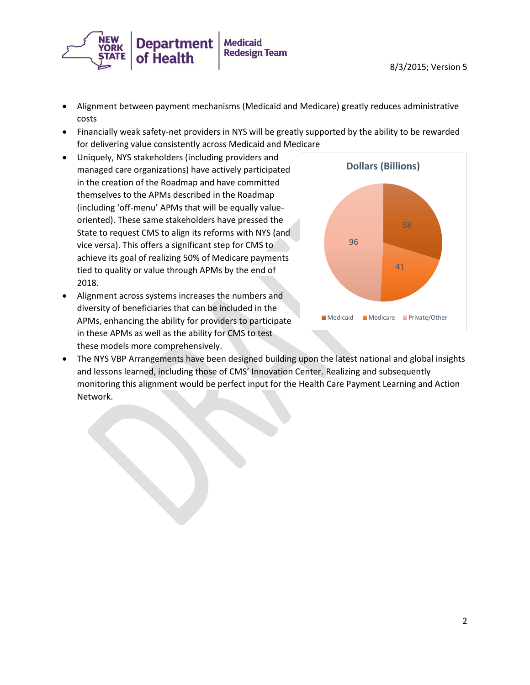

- Alignment between payment mechanisms (Medicaid and Medicare) greatly reduces administrative costs
- Financially weak safety-net providers in NYS will be greatly supported by the ability to be rewarded for delivering value consistently across Medicaid and Medicare
- Uniquely, NYS stakeholders (including providers and managed care organizations) have actively participated in the creation of the Roadmap and have committed themselves to the APMs described in the Roadmap (including 'off-menu' APMs that will be equally valueoriented). These same stakeholders have pressed the State to request CMS to align its reforms with NYS (and vice versa). This offers a significant step for CMS to achieve its goal of realizing 50% of Medicare payments tied to quality or value through APMs by the end of 2018.
- Alignment across systems increases the numbers and diversity of beneficiaries that can be included in the APMs, enhancing the ability for providers to participate in these APMs as well as the ability for CMS to test these models more comprehensively.



 The NYS VBP Arrangements have been designed building upon the latest national and global insights and lessons learned, including those of CMS' Innovation Center. Realizing and subsequently monitoring this alignment would be perfect input for the Health Care Payment Learning and Action Network.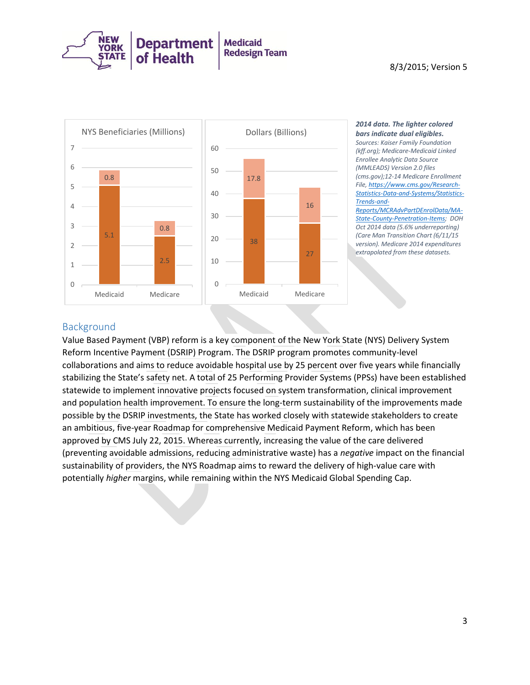

#### 8/3/2015; Version 5



#### *2014 data. The lighter colored bars indicate dual eligibles.*

*Sources: Kaiser Family Foundation (kff.org); Medicare-Medicaid Linked Enrollee Analytic Data Source (MMLEADS) Version 2.0 files (cms.gov);12-14 Medicare Enrollment File[, https://www.cms.gov/Research-](https://www.cms.gov/Research-Statistics-Data-and-Systems/Statistics-Trends-and-Reports/MCRAdvPartDEnrolData/MA-State-County-Penetration-Items)[Statistics-Data-and-Systems/Statistics-](https://www.cms.gov/Research-Statistics-Data-and-Systems/Statistics-Trends-and-Reports/MCRAdvPartDEnrolData/MA-State-County-Penetration-Items)[Trends-and-](https://www.cms.gov/Research-Statistics-Data-and-Systems/Statistics-Trends-and-Reports/MCRAdvPartDEnrolData/MA-State-County-Penetration-Items)*

*[Reports/MCRAdvPartDEnrolData/MA-](https://www.cms.gov/Research-Statistics-Data-and-Systems/Statistics-Trends-and-Reports/MCRAdvPartDEnrolData/MA-State-County-Penetration-Items)[State-County-Penetration-Items;](https://www.cms.gov/Research-Statistics-Data-and-Systems/Statistics-Trends-and-Reports/MCRAdvPartDEnrolData/MA-State-County-Penetration-Items) DOH Oct 2014 data (5.6% underreporting) (Care Man Transition Chart (6/11/15 version). Medicare 2014 expenditures extrapolated from these datasets.*

### Background

Value Based Payment (VBP) reform is a key component of the New York State (NYS) Delivery System Reform Incentive Payment (DSRIP) Program. The DSRIP program promotes community-level collaborations and aims to reduce avoidable hospital use by 25 percent over five years while financially stabilizing the State's safety net. A total of 25 Performing Provider Systems (PPSs) have been established statewide to implement innovative projects focused on system transformation, clinical improvement and population health improvement. To ensure the long-term sustainability of the improvements made possible by the DSRIP investments, the State has worked closely with statewide stakeholders to create an ambitious, five-year Roadmap for comprehensive Medicaid Payment Reform, which has been approved by CMS July 22, 2015. Whereas currently, increasing the value of the care delivered (preventing avoidable admissions, reducing administrative waste) has a *negative* impact on the financial sustainability of providers, the NYS Roadmap aims to reward the delivery of high-value care with potentially *higher* margins, while remaining within the NYS Medicaid Global Spending Cap.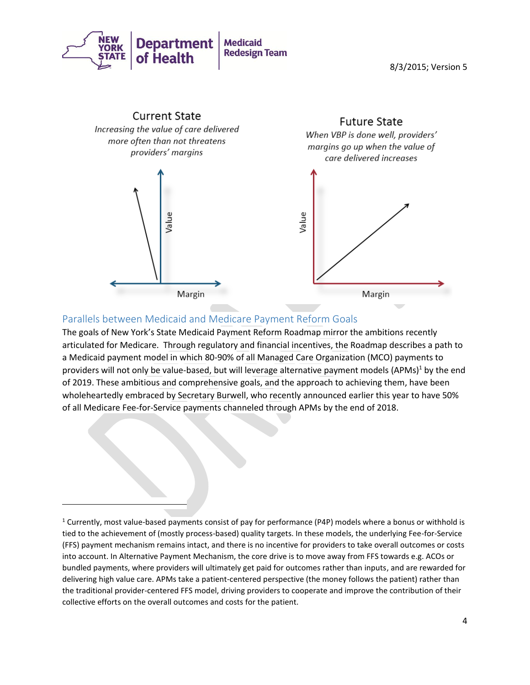

8/3/2015; Version 5



## Parallels between Medicaid and Medicare Payment Reform Goals

 $\overline{\phantom{a}}$ 

The goals of New York's State Medicaid Payment Reform Roadmap mirror the ambitions recently articulated for Medicare. Through regulatory and financial incentives, the Roadmap describes a path to a Medicaid payment model in which 80-90% of all Managed Care Organization (MCO) payments to providers will not only be value-based, but will leverage alternative payment models (APMs)<sup>1</sup> by the end of 2019. These ambitious and comprehensive goals, and the approach to achieving them, have been wholeheartedly embraced by Secretary Burwell, who recently announced earlier this year to have 50% of all Medicare Fee-for-Service payments channeled through APMs by the end of 2018.

<sup>&</sup>lt;sup>1</sup> Currently, most value-based payments consist of pay for performance (P4P) models where a bonus or withhold is tied to the achievement of (mostly process-based) quality targets. In these models, the underlying Fee-for-Service (FFS) payment mechanism remains intact, and there is no incentive for providers to take overall outcomes or costs into account. In Alternative Payment Mechanism, the core drive is to move away from FFS towards e.g. ACOs or bundled payments, where providers will ultimately get paid for outcomes rather than inputs, and are rewarded for delivering high value care. APMs take a patient-centered perspective (the money follows the patient) rather than the traditional provider-centered FFS model, driving providers to cooperate and improve the contribution of their collective efforts on the overall outcomes and costs for the patient.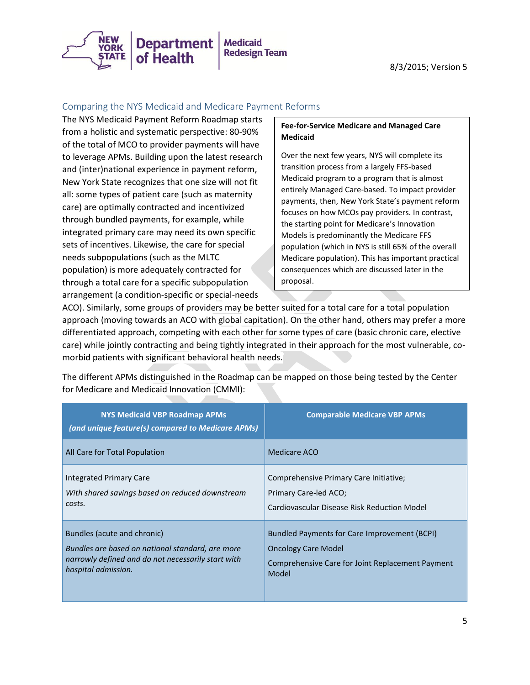

8/3/2015; Version 5

#### Comparing the NYS Medicaid and Medicare Payment Reforms

The NYS Medicaid Payment Reform Roadmap starts from a holistic and systematic perspective: 80-90% of the total of MCO to provider payments will have to leverage APMs. Building upon the latest research and (inter)national experience in payment reform, New York State recognizes that one size will not fit all: some types of patient care (such as maternity care) are optimally contracted and incentivized through bundled payments, for example, while integrated primary care may need its own specific sets of incentives. Likewise, the care for special needs subpopulations (such as the MLTC population) is more adequately contracted for through a total care for a specific subpopulation arrangement (a condition-specific or special-needs

#### **Fee-for-Service Medicare and Managed Care Medicaid**

Over the next few years, NYS will complete its transition process from a largely FFS-based Medicaid program to a program that is almost entirely Managed Care-based. To impact provider payments, then, New York State's payment reform focuses on how MCOs pay providers. In contrast, the starting point for Medicare's Innovation Models is predominantly the Medicare FFS population (which in NYS is still 65% of the overall Medicare population). This has important practical consequences which are discussed later in the proposal.

ACO). Similarly, some groups of providers may be better suited for a total care for a total population approach (moving towards an ACO with global capitation). On the other hand, others may prefer a more differentiated approach, competing with each other for some types of care (basic chronic care, elective care) while jointly contracting and being tightly integrated in their approach for the most vulnerable, comorbid patients with significant behavioral health needs.

| <b>NYS Medicaid VBP Roadmap APMs</b><br>(and unique feature(s) compared to Medicare APMs) | <b>Comparable Medicare VBP APMs</b>                 |
|-------------------------------------------------------------------------------------------|-----------------------------------------------------|
| All Care for Total Population                                                             | Medicare ACO                                        |
| Integrated Primary Care                                                                   | Comprehensive Primary Care Initiative;              |
| With shared savings based on reduced downstream                                           | Primary Care-led ACO;                               |
| costs.                                                                                    | Cardiovascular Disease Risk Reduction Model         |
| Bundles (acute and chronic)                                                               | <b>Bundled Payments for Care Improvement (BCPI)</b> |
| Bundles are based on national standard, are more                                          | <b>Oncology Care Model</b>                          |
| narrowly defined and do not necessarily start with                                        | Comprehensive Care for Joint Replacement Payment    |
| hospital admission.                                                                       | Model                                               |

The different APMs distinguished in the Roadmap can be mapped on those being tested by the Center for Medicare and Medicaid Innovation (CMMI):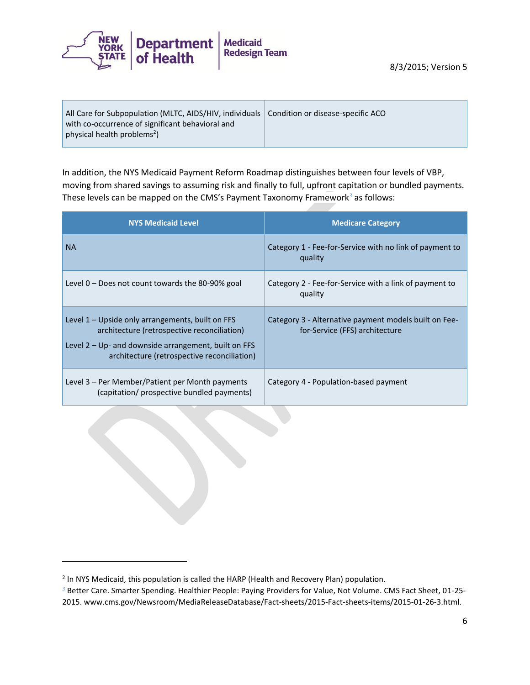

In addition, the NYS Medicaid Payment Reform Roadmap distinguishes between four levels of VBP, moving from shared savings to assuming risk and finally to full, upfront capitation or bundled payments. These levels can be mapped on the CMS's Payment Taxonomy Framework*<sup>3</sup>* as follows:

| <b>NYS Medicaid Level</b>                                                                                                                                                                               | <b>Medicare Category</b>                                                                |
|---------------------------------------------------------------------------------------------------------------------------------------------------------------------------------------------------------|-----------------------------------------------------------------------------------------|
| <b>NA</b>                                                                                                                                                                                               | Category 1 - Fee-for-Service with no link of payment to<br>quality                      |
| Level $0$ – Does not count towards the 80-90% goal                                                                                                                                                      | Category 2 - Fee-for-Service with a link of payment to<br>quality                       |
| Level 1 – Upside only arrangements, built on FFS<br>architecture (retrospective reconciliation)<br>Level $2 - Up$ and downside arrangement, built on FFS<br>architecture (retrospective reconciliation) | Category 3 - Alternative payment models built on Fee-<br>for-Service (FFS) architecture |
| Level 3 – Per Member/Patient per Month payments<br>(capitation/ prospective bundled payments)                                                                                                           | Category 4 - Population-based payment                                                   |

 $\overline{\phantom{a}}$ 

<sup>&</sup>lt;sup>2</sup> In NYS Medicaid, this population is called the HARP (Health and Recovery Plan) population.

*<sup>3</sup>* Better Care. Smarter Spending. Healthier People: Paying Providers for Value, Not Volume. CMS Fact Sheet, 01-25- 2015. www.cms.gov/Newsroom/MediaReleaseDatabase/Fact-sheets/2015-Fact-sheets-items/2015-01-26-3.html.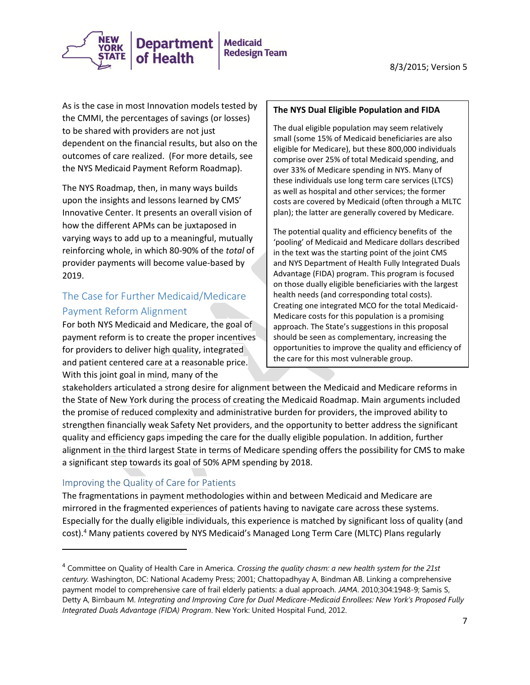

As is the case in most Innovation models tested by the CMMI, the percentages of savings (or losses) to be shared with providers are not just dependent on the financial results, but also on the outcomes of care realized. (For more details, see the NYS Medicaid Payment Reform Roadmap).

The NYS Roadmap, then, in many ways builds upon the insights and lessons learned by CMS' Innovative Center. It presents an overall vision of how the different APMs can be juxtaposed in varying ways to add up to a meaningful, mutually reinforcing whole, in which 80-90% of the *total* of provider payments will become value-based by 2019.

# The Case for Further Medicaid/Medicare Payment Reform Alignment

For both NYS Medicaid and Medicare, the goal of payment reform is to create the proper incentives for providers to deliver high quality, integrated and patient centered care at a reasonable price. With this joint goal in mind, many of the

#### **The NYS Dual Eligible Population and FIDA**

The dual eligible population may seem relatively small (some 15% of Medicaid beneficiaries are also eligible for Medicare), but these 800,000 individuals comprise over 25% of total Medicaid spending, and over 33% of Medicare spending in NYS. Many of these individuals use long term care services (LTCS) as well as hospital and other services; the former costs are covered by Medicaid (often through a MLTC plan); the latter are generally covered by Medicare.

The potential quality and efficiency benefits of the 'pooling' of Medicaid and Medicare dollars described in the text was the starting point of the joint CMS and NYS Department of Health Fully Integrated Duals Advantage (FIDA) program. This program is focused on those dually eligible beneficiaries with the largest health needs (and corresponding total costs). Creating one integrated MCO for the total Medicaid-Medicare costs for this population is a promising approach. The State's suggestions in this proposal should be seen as complementary, increasing the opportunities to improve the quality and efficiency of the care for this most vulnerable group.

stakeholders articulated a strong desire for alignment between the Medicaid and Medicare reforms in the State of New York during the process of creating the Medicaid Roadmap. Main arguments included the promise of reduced complexity and administrative burden for providers, the improved ability to strengthen financially weak Safety Net providers, and the opportunity to better address the significant quality and efficiency gaps impeding the care for the dually eligible population. In addition, further alignment in the third largest State in terms of Medicare spending offers the possibility for CMS to make a significant step towards its goal of 50% APM spending by 2018.

## Improving the Quality of Care for Patients

 $\overline{\phantom{a}}$ 

The fragmentations in payment methodologies within and between Medicaid and Medicare are mirrored in the fragmented experiences of patients having to navigate care across these systems. Especially for the dually eligible individuals, this experience is matched by significant loss of quality (and cost).<sup>4</sup> Many patients covered by NYS Medicaid's Managed Long Term Care (MLTC) Plans regularly

<sup>4</sup> Committee on Quality of Health Care in America. *Crossing the quality chasm: a new health system for the 21st century.* Washington, DC: National Academy Press; 2001; Chattopadhyay A, Bindman AB. Linking a comprehensive payment model to comprehensive care of frail elderly patients: a dual approach. *JAMA*. 2010;304:1948-9; Samis S, Detty A, Birnbaum M. *Integrating and Improving Care for Dual Medicare-Medicaid Enrollees: New York's Proposed Fully Integrated Duals Advantage (FIDA) Program*. New York: United Hospital Fund, 2012.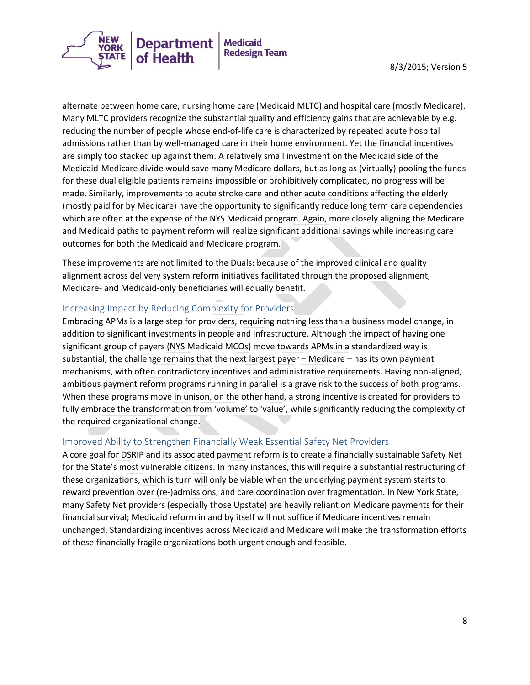

alternate between home care, nursing home care (Medicaid MLTC) and hospital care (mostly Medicare). Many MLTC providers recognize the substantial quality and efficiency gains that are achievable by e.g. reducing the number of people whose end-of-life care is characterized by repeated acute hospital admissions rather than by well-managed care in their home environment. Yet the financial incentives are simply too stacked up against them. A relatively small investment on the Medicaid side of the Medicaid-Medicare divide would save many Medicare dollars, but as long as (virtually) pooling the funds for these dual eligible patients remains impossible or prohibitively complicated, no progress will be made. Similarly, improvements to acute stroke care and other acute conditions affecting the elderly (mostly paid for by Medicare) have the opportunity to significantly reduce long term care dependencies which are often at the expense of the NYS Medicaid program. Again, more closely aligning the Medicare and Medicaid paths to payment reform will realize significant additional savings while increasing care outcomes for both the Medicaid and Medicare program.

These improvements are not limited to the Duals: because of the improved clinical and quality alignment across delivery system reform initiatives facilitated through the proposed alignment, Medicare- and Medicaid-only beneficiaries will equally benefit.

#### Increasing Impact by Reducing Complexity for Providers

l

Embracing APMs is a large step for providers, requiring nothing less than a business model change, in addition to significant investments in people and infrastructure. Although the impact of having one significant group of payers (NYS Medicaid MCOs) move towards APMs in a standardized way is substantial, the challenge remains that the next largest payer – Medicare – has its own payment mechanisms, with often contradictory incentives and administrative requirements. Having non-aligned, ambitious payment reform programs running in parallel is a grave risk to the success of both programs. When these programs move in unison, on the other hand, a strong incentive is created for providers to fully embrace the transformation from 'volume' to 'value', while significantly reducing the complexity of the required organizational change.

#### Improved Ability to Strengthen Financially Weak Essential Safety Net Providers

A core goal for DSRIP and its associated payment reform is to create a financially sustainable Safety Net for the State's most vulnerable citizens. In many instances, this will require a substantial restructuring of these organizations, which is turn will only be viable when the underlying payment system starts to reward prevention over (re-)admissions, and care coordination over fragmentation. In New York State, many Safety Net providers (especially those Upstate) are heavily reliant on Medicare payments for their financial survival; Medicaid reform in and by itself will not suffice if Medicare incentives remain unchanged. Standardizing incentives across Medicaid and Medicare will make the transformation efforts of these financially fragile organizations both urgent enough and feasible.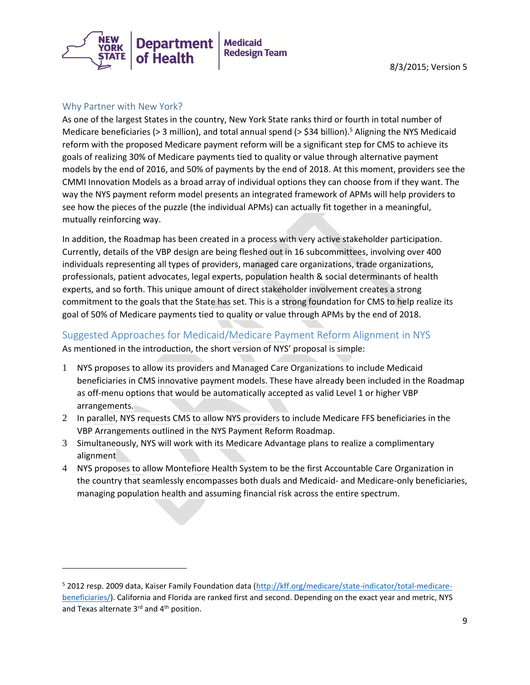

#### Why Partner with New York?

 $\overline{\phantom{a}}$ 

As one of the largest States in the country, New York State ranks third or fourth in total number of Medicare beneficiaries ( $>$  3 million), and total annual spend ( $>$  \$34 billion).<sup>5</sup> Aligning the NYS Medicaid reform with the proposed Medicare payment reform will be a significant step for CMS to achieve its goals of realizing 30% of Medicare payments tied to quality or value through alternative payment models by the end of 2016, and 50% of payments by the end of 2018. At this moment, providers see the CMMI Innovation Models as a broad array of individual options they can choose from if they want. The way the NYS payment reform model presents an integrated framework of APMs will help providers to see how the pieces of the puzzle (the individual APMs) can actually fit together in a meaningful, mutually reinforcing way.

In addition, the Roadmap has been created in a process with very active stakeholder participation. Currently, details of the VBP design are being fleshed out in 16 subcommittees, involving over 400 individuals representing all types of providers, managed care organizations, trade organizations, professionals, patient advocates, legal experts, population health & social determinants of health experts, and so forth. This unique amount of direct stakeholder involvement creates a strong commitment to the goals that the State has set. This is a strong foundation for CMS to help realize its goal of 50% of Medicare payments tied to quality or value through APMs by the end of 2018.

## Suggested Approaches for Medicaid/Medicare Payment Reform Alignment in NYS As mentioned in the introduction, the short version of NYS' proposal is simple:

- 1 NYS proposes to allow its providers and Managed Care Organizations to include Medicaid beneficiaries in CMS innovative payment models. These have already been included in the Roadmap as off-menu options that would be automatically accepted as valid Level 1 or higher VBP arrangements.
- 2 In parallel, NYS requests CMS to allow NYS providers to include Medicare FFS beneficiaries in the VBP Arrangements outlined in the NYS Payment Reform Roadmap.
- 3 Simultaneously, NYS will work with its Medicare Advantage plans to realize a complimentary alignment
- 4 NYS proposes to allow Montefiore Health System to be the first Accountable Care Organization in the country that seamlessly encompasses both duals and Medicaid- and Medicare-only beneficiaries, managing population health and assuming financial risk across the entire spectrum.

<sup>5</sup> 2012 resp. 2009 data, Kaiser Family Foundation data [\(http://kff.org/medicare/state-indicator/total-medicare](http://kff.org/medicare/state-indicator/total-medicare-beneficiaries/)[beneficiaries/\)](http://kff.org/medicare/state-indicator/total-medicare-beneficiaries/). California and Florida are ranked first and second. Depending on the exact year and metric, NYS and Texas alternate 3<sup>rd</sup> and 4<sup>th</sup> position.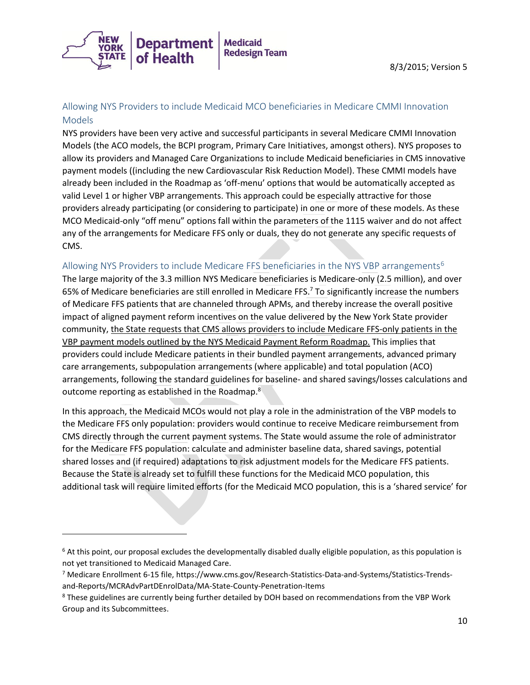

## Allowing NYS Providers to include Medicaid MCO beneficiaries in Medicare CMMI Innovation Models

NYS providers have been very active and successful participants in several Medicare CMMI Innovation Models (the ACO models, the BCPI program, Primary Care Initiatives, amongst others). NYS proposes to allow its providers and Managed Care Organizations to include Medicaid beneficiaries in CMS innovative payment models ((including the new Cardiovascular Risk Reduction Model). These CMMI models have already been included in the Roadmap as 'off-menu' options that would be automatically accepted as valid Level 1 or higher VBP arrangements. This approach could be especially attractive for those providers already participating (or considering to participate) in one or more of these models. As these MCO Medicaid-only "off menu" options fall within the parameters of the 1115 waiver and do not affect any of the arrangements for Medicare FFS only or duals, they do not generate any specific requests of CMS.

### Allowing NYS Providers to include Medicare FFS beneficiaries in the NYS VBP arrangements<sup>6</sup>

The large majority of the 3.3 million NYS Medicare beneficiaries is Medicare-only (2.5 million), and over 65% of Medicare beneficiaries are still enrolled in Medicare FFS.<sup>7</sup> To significantly increase the numbers of Medicare FFS patients that are channeled through APMs, and thereby increase the overall positive impact of aligned payment reform incentives on the value delivered by the New York State provider community, the State requests that CMS allows providers to include Medicare FFS-only patients in the VBP payment models outlined by the NYS Medicaid Payment Reform Roadmap. This implies that providers could include Medicare patients in their bundled payment arrangements, advanced primary care arrangements, subpopulation arrangements (where applicable) and total population (ACO) arrangements, following the standard guidelines for baseline- and shared savings/losses calculations and outcome reporting as established in the Roadmap.<sup>8</sup>

In this approach, the Medicaid MCOs would not play a role in the administration of the VBP models to the Medicare FFS only population: providers would continue to receive Medicare reimbursement from CMS directly through the current payment systems. The State would assume the role of administrator for the Medicare FFS population: calculate and administer baseline data, shared savings, potential shared losses and (if required) adaptations to risk adjustment models for the Medicare FFS patients. Because the State is already set to fulfill these functions for the Medicaid MCO population, this additional task will require limited efforts (for the Medicaid MCO population, this is a 'shared service' for

l

 $6$  At this point, our proposal excludes the developmentally disabled dually eligible population, as this population is not yet transitioned to Medicaid Managed Care.

<sup>7</sup> Medicare Enrollment 6-15 file, https://www.cms.gov/Research-Statistics-Data-and-Systems/Statistics-Trendsand-Reports/MCRAdvPartDEnrolData/MA-State-County-Penetration-Items

<sup>&</sup>lt;sup>8</sup> These guidelines are currently being further detailed by DOH based on recommendations from the VBP Work Group and its Subcommittees.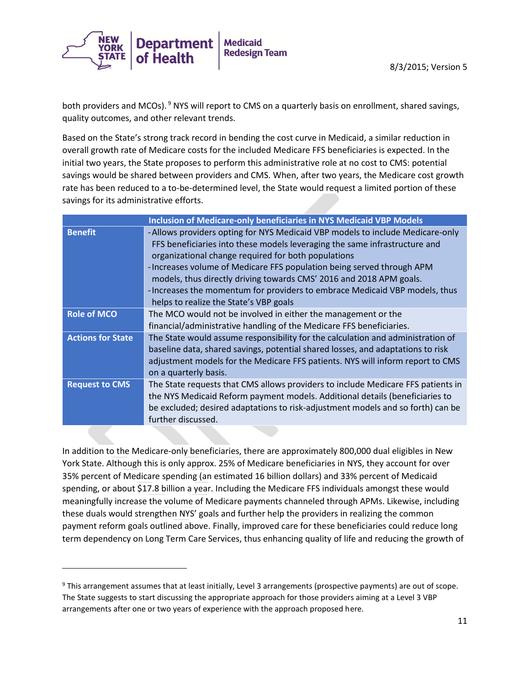

both providers and MCOs). <sup>9</sup> NYS will report to CMS on a quarterly basis on enrollment, shared savings, quality outcomes, and other relevant trends.

Based on the State's strong track record in bending the cost curve in Medicaid, a similar reduction in overall growth rate of Medicare costs for the included Medicare FFS beneficiaries is expected. In the initial two years, the State proposes to perform this administrative role at no cost to CMS: potential savings would be shared between providers and CMS. When, after two years, the Medicare cost growth rate has been reduced to a to-be-determined level, the State would request a limited portion of these savings for its administrative efforts.

| <b>Inclusion of Medicare-only beneficiaries in NYS Medicaid VBP Models</b> |                                                                                                                                                                                                                                                                                                                                                                                                                                                                                             |
|----------------------------------------------------------------------------|---------------------------------------------------------------------------------------------------------------------------------------------------------------------------------------------------------------------------------------------------------------------------------------------------------------------------------------------------------------------------------------------------------------------------------------------------------------------------------------------|
| <b>Benefit</b>                                                             | -Allows providers opting for NYS Medicaid VBP models to include Medicare-only<br>FFS beneficiaries into these models leveraging the same infrastructure and<br>organizational change required for both populations<br>-Increases volume of Medicare FFS population being served through APM<br>models, thus directly driving towards CMS' 2016 and 2018 APM goals.<br>- Increases the momentum for providers to embrace Medicaid VBP models, thus<br>helps to realize the State's VBP goals |
| <b>Role of MCO</b>                                                         | The MCO would not be involved in either the management or the<br>financial/administrative handling of the Medicare FFS beneficiaries.                                                                                                                                                                                                                                                                                                                                                       |
| <b>Actions for State</b>                                                   | The State would assume responsibility for the calculation and administration of<br>baseline data, shared savings, potential shared losses, and adaptations to risk<br>adjustment models for the Medicare FFS patients. NYS will inform report to CMS<br>on a quarterly basis.                                                                                                                                                                                                               |
| <b>Request to CMS</b>                                                      | The State requests that CMS allows providers to include Medicare FFS patients in<br>the NYS Medicaid Reform payment models. Additional details (beneficiaries to<br>be excluded; desired adaptations to risk-adjustment models and so forth) can be<br>further discussed.                                                                                                                                                                                                                   |

In addition to the Medicare-only beneficiaries, there are approximately 800,000 dual eligibles in New York State. Although this is only approx. 25% of Medicare beneficiaries in NYS, they account for over 35% percent of Medicare spending (an estimated 16 billion dollars) and 33% percent of Medicaid spending, or about \$17.8 billion a year. Including the Medicare FFS individuals amongst these would meaningfully increase the volume of Medicare payments channeled through APMs. Likewise, including these duals would strengthen NYS' goals and further help the providers in realizing the common payment reform goals outlined above. Finally, improved care for these beneficiaries could reduce long term dependency on Long Term Care Services, thus enhancing quality of life and reducing the growth of

 $\overline{\phantom{a}}$ 

<sup>9</sup> This arrangement assumes that at least initially, Level 3 arrangements (prospective payments) are out of scope. The State suggests to start discussing the appropriate approach for those providers aiming at a Level 3 VBP arrangements after one or two years of experience with the approach proposed here.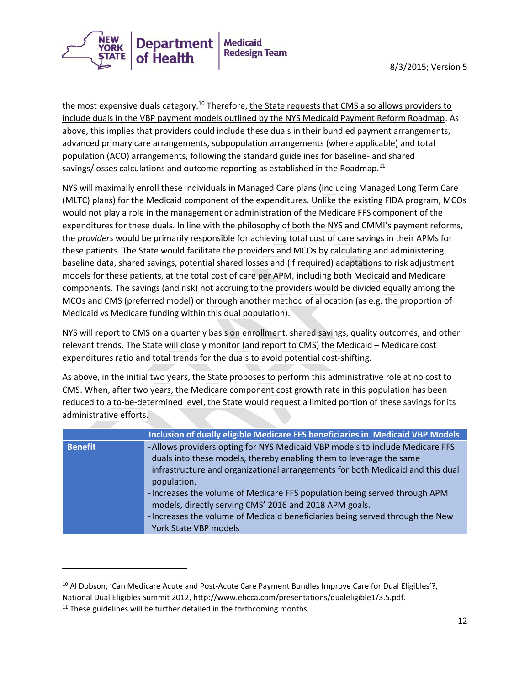

the most expensive duals category.<sup>10</sup> Therefore, the State requests that CMS also allows providers to include duals in the VBP payment models outlined by the NYS Medicaid Payment Reform Roadmap. As above, this implies that providers could include these duals in their bundled payment arrangements, advanced primary care arrangements, subpopulation arrangements (where applicable) and total population (ACO) arrangements, following the standard guidelines for baseline- and shared savings/losses calculations and outcome reporting as established in the Roadmap.<sup>11</sup>

NYS will maximally enroll these individuals in Managed Care plans (including Managed Long Term Care (MLTC) plans) for the Medicaid component of the expenditures. Unlike the existing FIDA program, MCOs would not play a role in the management or administration of the Medicare FFS component of the expenditures for these duals. In line with the philosophy of both the NYS and CMMI's payment reforms, the *providers* would be primarily responsible for achieving total cost of care savings in their APMs for these patients. The State would facilitate the providers and MCOs by calculating and administering baseline data, shared savings, potential shared losses and (if required) adaptations to risk adjustment models for these patients, at the total cost of care per APM, including both Medicaid and Medicare components. The savings (and risk) not accruing to the providers would be divided equally among the MCOs and CMS (preferred model) or through another method of allocation (as e.g. the proportion of Medicaid vs Medicare funding within this dual population).

NYS will report to CMS on a quarterly basis on enrollment, shared savings, quality outcomes, and other relevant trends. The State will closely monitor (and report to CMS) the Medicaid – Medicare cost expenditures ratio and total trends for the duals to avoid potential cost-shifting.

As above, in the initial two years, the State proposes to perform this administrative role at no cost to CMS. When, after two years, the Medicare component cost growth rate in this population has been reduced to a to-be-determined level, the State would request a limited portion of these savings for its administrative efforts.

|                | Inclusion of dually eligible Medicare FFS beneficiaries in Medicaid VBP Models |
|----------------|--------------------------------------------------------------------------------|
| <b>Benefit</b> | -Allows providers opting for NYS Medicaid VBP models to include Medicare FFS   |
|                | duals into these models, thereby enabling them to leverage the same            |
|                | infrastructure and organizational arrangements for both Medicaid and this dual |
|                | population.                                                                    |
|                | -Increases the volume of Medicare FFS population being served through APM      |
|                | models, directly serving CMS' 2016 and 2018 APM goals.                         |
|                | -Increases the volume of Medicaid beneficiaries being served through the New   |
|                | York State VBP models                                                          |

 $\overline{\phantom{a}}$ 

<sup>&</sup>lt;sup>10</sup> Al Dobson, 'Can Medicare Acute and Post-Acute Care Payment Bundles Improve Care for Dual Eligibles'?,

National Dual Eligibles Summit 2012, http://www.ehcca.com/presentations/dualeligible1/3.5.pdf.

 $11$  These guidelines will be further detailed in the forthcoming months.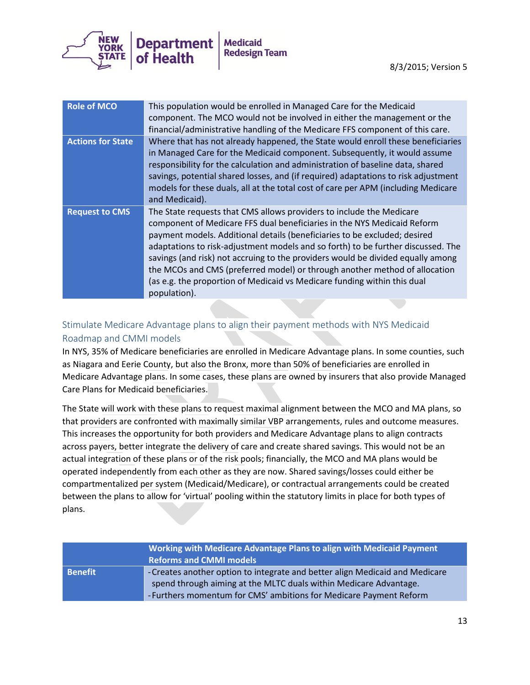

| <b>Role of MCO</b>       | This population would be enrolled in Managed Care for the Medicaid<br>component. The MCO would not be involved in either the management or the<br>financial/administrative handling of the Medicare FFS component of this care.                                                                                                                                                                                                                                                                                                                                               |
|--------------------------|-------------------------------------------------------------------------------------------------------------------------------------------------------------------------------------------------------------------------------------------------------------------------------------------------------------------------------------------------------------------------------------------------------------------------------------------------------------------------------------------------------------------------------------------------------------------------------|
| <b>Actions for State</b> | Where that has not already happened, the State would enroll these beneficiaries<br>in Managed Care for the Medicaid component. Subsequently, it would assume<br>responsibility for the calculation and administration of baseline data, shared<br>savings, potential shared losses, and (if required) adaptations to risk adjustment<br>models for these duals, all at the total cost of care per APM (including Medicare<br>and Medicaid).                                                                                                                                   |
| <b>Request to CMS</b>    | The State requests that CMS allows providers to include the Medicare<br>component of Medicare FFS dual beneficiaries in the NYS Medicaid Reform<br>payment models. Additional details (beneficiaries to be excluded; desired<br>adaptations to risk-adjustment models and so forth) to be further discussed. The<br>savings (and risk) not accruing to the providers would be divided equally among<br>the MCOs and CMS (preferred model) or through another method of allocation<br>(as e.g. the proportion of Medicaid vs Medicare funding within this dual<br>population). |

## Stimulate Medicare Advantage plans to align their payment methods with NYS Medicaid Roadmap and CMMI models

In NYS, 35% of Medicare beneficiaries are enrolled in Medicare Advantage plans. In some counties, such as Niagara and Eerie County, but also the Bronx, more than 50% of beneficiaries are enrolled in Medicare Advantage plans. In some cases, these plans are owned by insurers that also provide Managed Care Plans for Medicaid beneficiaries.

The State will work with these plans to request maximal alignment between the MCO and MA plans, so that providers are confronted with maximally similar VBP arrangements, rules and outcome measures. This increases the opportunity for both providers and Medicare Advantage plans to align contracts across payers, better integrate the delivery of care and create shared savings. This would not be an actual integration of these plans or of the risk pools; financially, the MCO and MA plans would be operated independently from each other as they are now. Shared savings/losses could either be compartmentalized per system (Medicaid/Medicare), or contractual arrangements could be created between the plans to allow for 'virtual' pooling within the statutory limits in place for both types of plans.

| Working with Medicare Advantage Plans to align with Medicaid Payment<br><b>Reforms and CMMI models</b> |                                                                                                                                                                                                                        |
|--------------------------------------------------------------------------------------------------------|------------------------------------------------------------------------------------------------------------------------------------------------------------------------------------------------------------------------|
| <b>Benefit</b>                                                                                         | -Creates another option to integrate and better align Medicaid and Medicare<br>spend through aiming at the MLTC duals within Medicare Advantage.<br>- Furthers momentum for CMS' ambitions for Medicare Payment Reform |